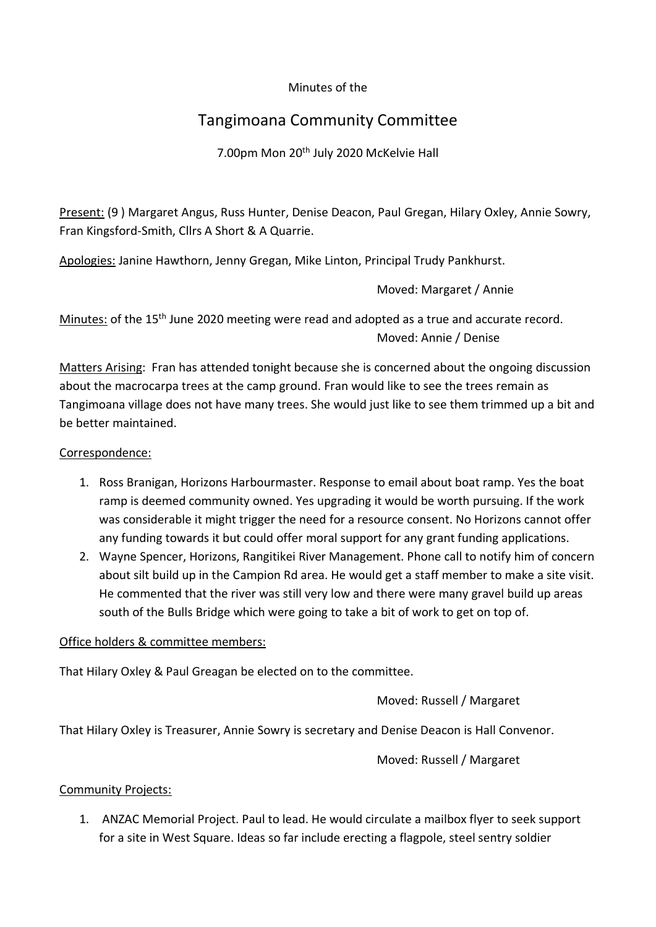### Minutes of the

# Tangimoana Community Committee

7.00pm Mon 20th July 2020 McKelvie Hall

Present: (9 ) Margaret Angus, Russ Hunter, Denise Deacon, Paul Gregan, Hilary Oxley, Annie Sowry, Fran Kingsford-Smith, Cllrs A Short & A Quarrie.

Apologies: Janine Hawthorn, Jenny Gregan, Mike Linton, Principal Trudy Pankhurst.

Moved: Margaret / Annie

Minutes: of the 15<sup>th</sup> June 2020 meeting were read and adopted as a true and accurate record. Moved: Annie / Denise

Matters Arising: Fran has attended tonight because she is concerned about the ongoing discussion about the macrocarpa trees at the camp ground. Fran would like to see the trees remain as Tangimoana village does not have many trees. She would just like to see them trimmed up a bit and be better maintained.

### Correspondence:

- 1. Ross Branigan, Horizons Harbourmaster. Response to email about boat ramp. Yes the boat ramp is deemed community owned. Yes upgrading it would be worth pursuing. If the work was considerable it might trigger the need for a resource consent. No Horizons cannot offer any funding towards it but could offer moral support for any grant funding applications.
- 2. Wayne Spencer, Horizons, Rangitikei River Management. Phone call to notify him of concern about silt build up in the Campion Rd area. He would get a staff member to make a site visit. He commented that the river was still very low and there were many gravel build up areas south of the Bulls Bridge which were going to take a bit of work to get on top of.

#### Office holders & committee members:

That Hilary Oxley & Paul Greagan be elected on to the committee.

# Moved: Russell / Margaret

That Hilary Oxley is Treasurer, Annie Sowry is secretary and Denise Deacon is Hall Convenor.

Moved: Russell / Margaret

# Community Projects:

1. ANZAC Memorial Project. Paul to lead. He would circulate a mailbox flyer to seek support for a site in West Square. Ideas so far include erecting a flagpole, steel sentry soldier